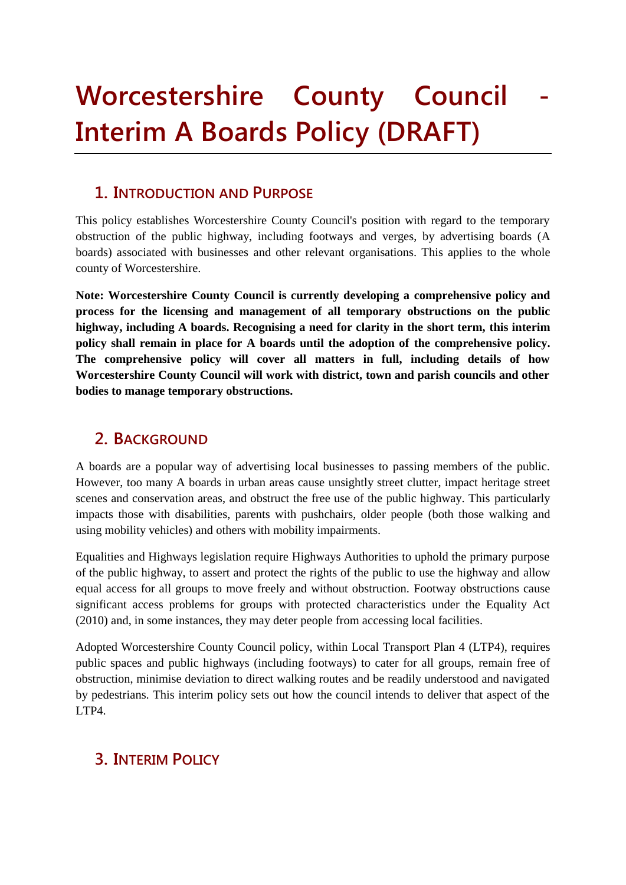# **Worcestershire County Council Interim A Boards Policy (DRAFT)**

### **1. INTRODUCTION AND PURPOSE**

This policy establishes Worcestershire County Council's position with regard to the temporary obstruction of the public highway, including footways and verges, by advertising boards (A boards) associated with businesses and other relevant organisations. This applies to the whole county of Worcestershire.

**Note: Worcestershire County Council is currently developing a comprehensive policy and process for the licensing and management of all temporary obstructions on the public highway, including A boards. Recognising a need for clarity in the short term, this interim policy shall remain in place for A boards until the adoption of the comprehensive policy. The comprehensive policy will cover all matters in full, including details of how Worcestershire County Council will work with district, town and parish councils and other bodies to manage temporary obstructions.**

# **2. BACKGROUND**

A boards are a popular way of advertising local businesses to passing members of the public. However, too many A boards in urban areas cause unsightly street clutter, impact heritage street scenes and conservation areas, and obstruct the free use of the public highway. This particularly impacts those with disabilities, parents with pushchairs, older people (both those walking and using mobility vehicles) and others with mobility impairments.

Equalities and Highways legislation require Highways Authorities to uphold the primary purpose of the public highway, to assert and protect the rights of the public to use the highway and allow equal access for all groups to move freely and without obstruction. Footway obstructions cause significant access problems for groups with protected characteristics under the Equality Act (2010) and, in some instances, they may deter people from accessing local facilities.

Adopted Worcestershire County Council policy, within Local Transport Plan 4 (LTP4), requires public spaces and public highways (including footways) to cater for all groups, remain free of obstruction, minimise deviation to direct walking routes and be readily understood and navigated by pedestrians. This interim policy sets out how the council intends to deliver that aspect of the LTP4.

## **3. INTERIM POLICY**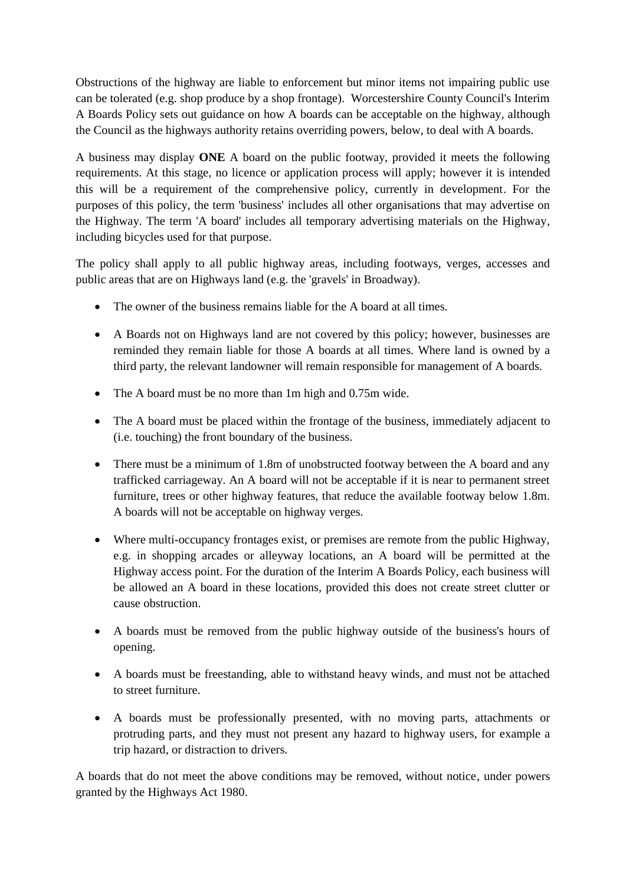Obstructions of the highway are liable to enforcement but minor items not impairing public use can be tolerated (e.g. shop produce by a shop frontage). Worcestershire County Council's Interim A Boards Policy sets out guidance on how A boards can be acceptable on the highway, although the Council as the highways authority retains overriding powers, below, to deal with A boards.

A business may display **ONE** A board on the public footway, provided it meets the following requirements. At this stage, no licence or application process will apply; however it is intended this will be a requirement of the comprehensive policy, currently in development. For the purposes of this policy, the term 'business' includes all other organisations that may advertise on the Highway. The term 'A board' includes all temporary advertising materials on the Highway, including bicycles used for that purpose.

The policy shall apply to all public highway areas, including footways, verges, accesses and public areas that are on Highways land (e.g. the 'gravels' in Broadway).

- The owner of the business remains liable for the A board at all times.
- A Boards not on Highways land are not covered by this policy; however, businesses are reminded they remain liable for those A boards at all times. Where land is owned by a third party, the relevant landowner will remain responsible for management of A boards.
- The A board must be no more than 1m high and 0.75m wide.
- The A board must be placed within the frontage of the business, immediately adjacent to (i.e. touching) the front boundary of the business.
- There must be a minimum of 1.8m of unobstructed footway between the A board and any trafficked carriageway. An A board will not be acceptable if it is near to permanent street furniture, trees or other highway features, that reduce the available footway below 1.8m. A boards will not be acceptable on highway verges.
- Where multi-occupancy frontages exist, or premises are remote from the public Highway, e.g. in shopping arcades or alleyway locations, an A board will be permitted at the Highway access point. For the duration of the Interim A Boards Policy, each business will be allowed an A board in these locations, provided this does not create street clutter or cause obstruction.
- A boards must be removed from the public highway outside of the business's hours of opening.
- A boards must be freestanding, able to withstand heavy winds, and must not be attached to street furniture.
- A boards must be professionally presented, with no moving parts, attachments or protruding parts, and they must not present any hazard to highway users, for example a trip hazard, or distraction to drivers.

A boards that do not meet the above conditions may be removed, without notice, under powers granted by the Highways Act 1980.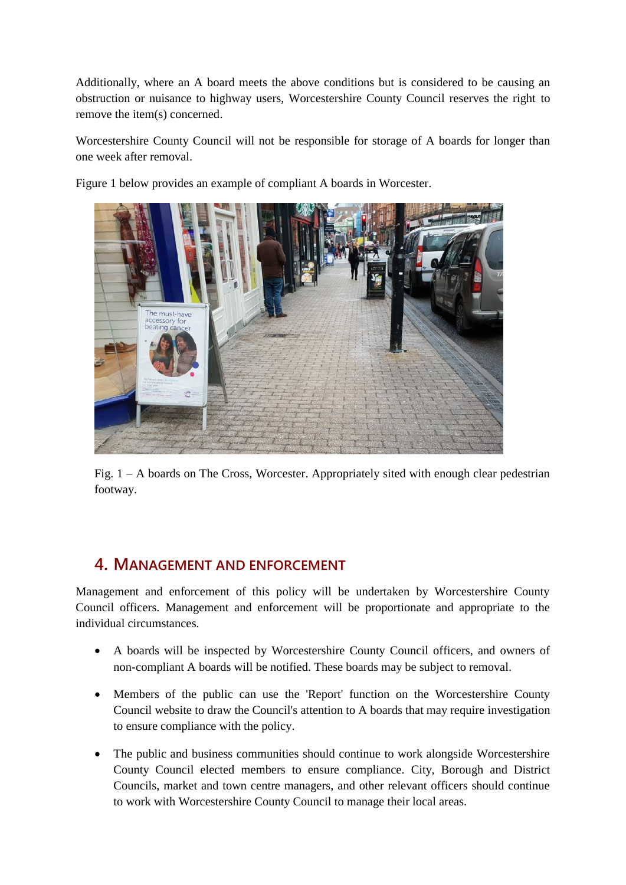Additionally, where an A board meets the above conditions but is considered to be causing an obstruction or nuisance to highway users, Worcestershire County Council reserves the right to remove the item(s) concerned.

Worcestershire County Council will not be responsible for storage of A boards for longer than one week after removal.

Figure 1 below provides an example of compliant A boards in Worcester.



Fig. 1 – A boards on The Cross, Worcester. Appropriately sited with enough clear pedestrian footway.

#### **4. MANAGEMENT AND ENFORCEMENT**

Management and enforcement of this policy will be undertaken by Worcestershire County Council officers. Management and enforcement will be proportionate and appropriate to the individual circumstances.

- A boards will be inspected by Worcestershire County Council officers, and owners of non-compliant A boards will be notified. These boards may be subject to removal.
- Members of the public can use the 'Report' function on the Worcestershire County Council website to draw the Council's attention to A boards that may require investigation to ensure compliance with the policy.
- The public and business communities should continue to work alongside Worcestershire County Council elected members to ensure compliance. City, Borough and District Councils, market and town centre managers, and other relevant officers should continue to work with Worcestershire County Council to manage their local areas.